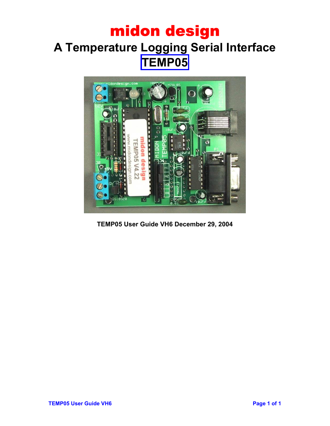## midon design **A Temperature Logging Serial Interface TEMP05**



**TEMP05 User Guide VH6 December 29, 2004**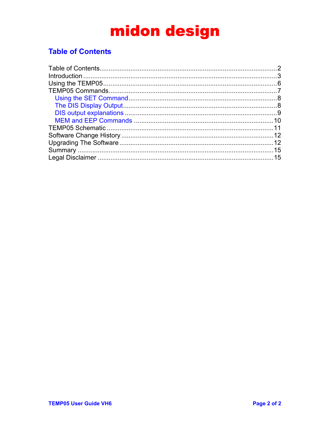### <span id="page-1-0"></span>**Table of Contents**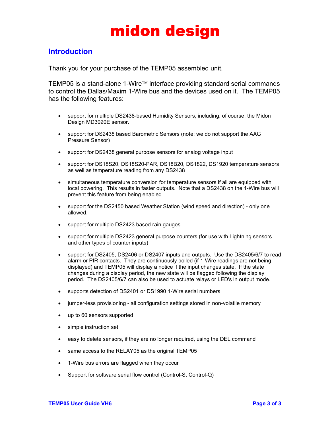### <span id="page-2-0"></span>**Introduction**

Thank you for your purchase of the TEMP05 assembled unit.

TEMP05 is a stand-alone 1-Wire™ interface providing standard serial commands to control the Dallas/Maxim 1-Wire bus and the devices used on it. The TEMP05 has the following features:

- support for multiple DS2438-based Humidity Sensors, including, of course, the Midon Design MD3020E sensor.
- support for DS2438 based Barometric Sensors (note: we do not support the AAG Pressure Sensor)
- support for DS2438 general purpose sensors for analog voltage input
- support for DS18S20, DS18S20-PAR, DS18B20, DS1822, DS1920 temperature sensors as well as temperature reading from any DS2438
- simultaneous temperature conversion for temperature sensors if all are equipped with local powering. This results in faster outputs. Note that a DS2438 on the 1-Wire bus will prevent this feature from being enabled.
- support for the DS2450 based Weather Station (wind speed and direction) only one allowed.
- support for multiple DS2423 based rain gauges
- support for multiple DS2423 general purpose counters (for use with Lightning sensors and other types of counter inputs)
- support for DS2405, DS2406 or DS2407 inputs and outputs. Use the DS2405/6/7 to read alarm or PIR contacts. They are continuously polled (if 1-Wire readings are not being displayed) and TEMP05 will display a notice if the input changes state. If the state changes during a display period, the new state will be flagged following the display period. The DS2405/6/7 can also be used to actuate relays or LED's in output mode.
- supports detection of DS2401 or DS1990 1-Wire serial numbers
- jumper-less provisioning all configuration settings stored in non-volatile memory
- up to 60 sensors supported
- simple instruction set
- easy to delete sensors, if they are no longer required, using the DEL command
- same access to the RELAY05 as the original TEMP05
- 1-Wire bus errors are flagged when they occur
- Support for software serial flow control (Control-S, Control-Q)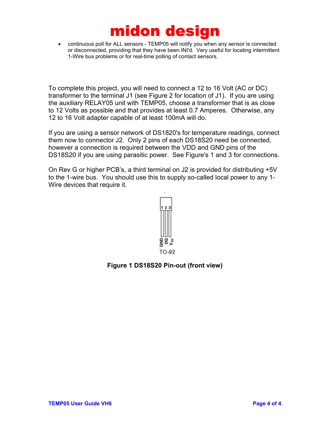• continuous poll for ALL sensors - TEMP05 will notify you when any sensor is connected or disconnected, providing that they have been INI'd. Very useful for locating intermittent 1-Wire bus problems or for real-time polling of contact sensors.

To complete this project, you will need to connect a 12 to 16 Volt (AC or DC) transformer to the terminal J1 (see Figure 2 for location of J1). If you are using the auxiliary RELAY05 unit with TEMP05, choose a transformer that is as close to 12 Volts as possible and that provides at least 0.7 Amperes. Otherwise, any 12 to 16 Volt adapter capable of at least 100mA will do.

If you are using a sensor network of DS1820's for temperature readings, connect them now to connector J2. Only 2 pins of each DS18S20 need be connected, however a connection is required between the VDD and GND pins of the DS18S20 if you are using parasitic power. See Figure's 1 and 3 for connections.

On Rev G or higher PCB's, a third terminal on J2 is provided for distributing +5V to the 1-wire bus. You should use this to supply so-called local power to any 1- Wire devices that require it.



#### **Figure 1 DS18S20 Pin-out (front view)**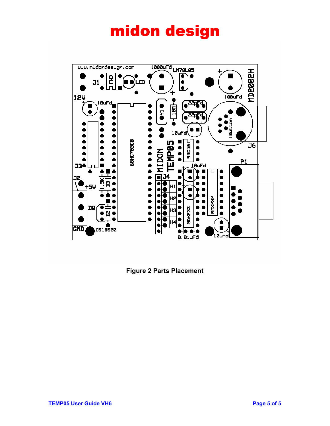

**Figure 2 Parts Placement**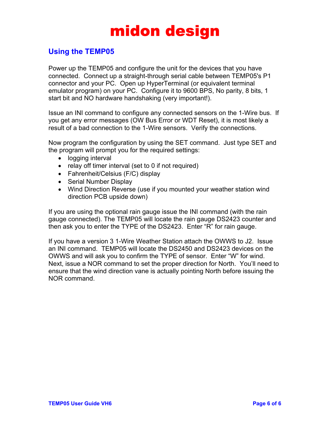### <span id="page-5-0"></span>**Using the TEMP05**

Power up the TEMP05 and configure the unit for the devices that you have connected. Connect up a straight-through serial cable between TEMP05's P1 connector and your PC. Open up HyperTerminal (or equivalent terminal emulator program) on your PC. Configure it to 9600 BPS, No parity, 8 bits, 1 start bit and NO hardware handshaking (very important!).

Issue an INI command to configure any connected sensors on the 1-Wire bus. If you get any error messages (OW Bus Error or WDT Reset), it is most likely a result of a bad connection to the 1-Wire sensors. Verify the connections.

Now program the configuration by using the SET command. Just type SET and the program will prompt you for the required settings:

- logging interval
- relay off timer interval (set to 0 if not required)
- Fahrenheit/Celsius (F/C) display
- Serial Number Display
- Wind Direction Reverse (use if you mounted your weather station wind direction PCB upside down)

If you are using the optional rain gauge issue the INI command (with the rain gauge connected). The TEMP05 will locate the rain gauge DS2423 counter and then ask you to enter the TYPE of the DS2423. Enter "R" for rain gauge.

If you have a version 3 1-Wire Weather Station attach the OWWS to J2. Issue an INI command. TEMP05 will locate the DS2450 and DS2423 devices on the OWWS and will ask you to confirm the TYPE of sensor. Enter "W" for wind. Next, issue a NOR command to set the proper direction for North. You'll need to ensure that the wind direction vane is actually pointing North before issuing the NOR command.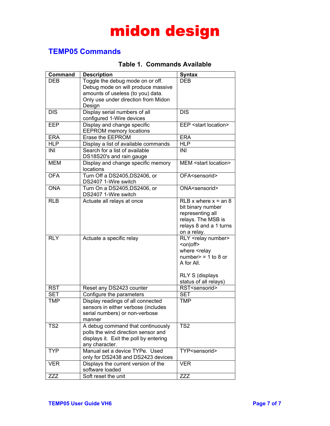### <span id="page-6-0"></span>**TEMP05 Commands**

### **Table 1. Commands Available**

| Command         | <b>Description</b>                     | <b>Syntax</b>                   |
|-----------------|----------------------------------------|---------------------------------|
| <b>DEB</b>      | Toggle the debug mode on or off.       | <b>DEB</b>                      |
|                 | Debug mode on will produce massive     |                                 |
|                 | amounts of useless (to you) data.      |                                 |
|                 | Only use under direction from Midon    |                                 |
|                 | Design                                 |                                 |
| <b>DIS</b>      | Display serial numbers of all          | <b>DIS</b>                      |
|                 | configured 1-Wire devices              |                                 |
| <b>EEP</b>      | Display and change specific            | EEP <start location=""></start> |
|                 | <b>EEPROM</b> memory locations         |                                 |
| <b>ERA</b>      | Erase the EEPROM                       | <b>ERA</b>                      |
| <b>HLP</b>      | Display a list of available commands   | <b>HLP</b>                      |
| INI             | Search for a list of available         | INI                             |
|                 | DS18S20's and rain gauge               |                                 |
| <b>MEM</b>      | Display and change specific memory     | MEM <start location=""></start> |
|                 | locations                              |                                 |
| <b>OFA</b>      | Turn Off a DS2405, DS2406, or          | OFA <sensorid></sensorid>       |
|                 | DS2407 1-Wire switch                   |                                 |
| <b>ONA</b>      | Turn On a DS2405, DS2406, or           | ONA <sensorid></sensorid>       |
|                 | DS2407 1-Wire switch                   |                                 |
| <b>RLB</b>      | Actuate all relays at once             | RLB x where $x = an 8$          |
|                 |                                        | bit binary number               |
|                 |                                        | representing all                |
|                 |                                        | relays. The MSB is              |
|                 |                                        | relays 8 and a 1 turns          |
|                 |                                        | on a relay.                     |
| <b>RLY</b>      | Actuate a specific relay               | RLY <relay number=""></relay>   |
|                 |                                        | <on off></on off>               |
|                 |                                        | where <relay< td=""></relay<>   |
|                 |                                        | number $>$ = 1 to 8 or          |
|                 |                                        | A for All.                      |
|                 |                                        |                                 |
|                 |                                        | <b>RLY S (displays</b>          |
|                 |                                        | status of all relays)           |
| <b>RST</b>      | Reset any DS2423 counter               | RST <sensorid></sensorid>       |
| <b>SET</b>      | Configure the parameters               | <b>SET</b>                      |
| <b>TMP</b>      | Display readings of all connected      | <b>TMP</b>                      |
|                 | sensors in either verbose (includes    |                                 |
|                 | serial numbers) or non-verbose         |                                 |
|                 | manner                                 |                                 |
| TS <sub>2</sub> | A debug command that continuously      | TS <sub>2</sub>                 |
|                 | polls the wind direction sensor and    |                                 |
|                 | displays it. Exit the poll by entering |                                 |
|                 | any character.                         |                                 |
| <b>TYP</b>      | Manual set a device TYPe. Used         | TYP <sensorid></sensorid>       |
|                 | only for DS2438 and DS2423 devices     |                                 |
| <b>VER</b>      | Displays the current version of the    | <b>VER</b>                      |
|                 | software loaded                        |                                 |
| ZZZ             | Soft reset the unit                    | ZZZ                             |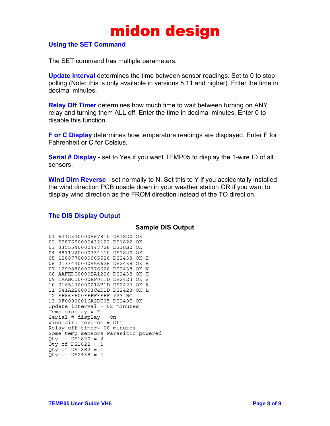

#### <span id="page-7-0"></span>**Using the SET Command**

The SET command has multiple parameters.

**Update Interval** determines the time between sensor readings. Set to 0 to stop polling (Note: this is only available in versions 5.11 and higher). Enter the time in decimal minutes.

**Relay Off Timer** determines how much time to wait between turning on ANY relay and turning them ALL off. Enter the time in decimal minutes. Enter 0 to disable this function.

**F or C Display** determines how temperature readings are displayed. Enter F for Fahrenheit or C for Celsius.

**Serial # Display** - set to Yes if you want TEMP05 to display the 1-wire ID of all sensors.

**Wind Dirn Reverse** - set normally to N. Set this to Y if you accidentally installed the wind direction PCB upside down in your weather station OR if you want to display wind direction as the FROM direction instead of the TO direction.

#### **The DIS Display Output**

#### **Sample DIS Output**

|                             | 01 6412340000567810 DS1820      |  |  |  |  | OK. |                                     |
|-----------------------------|---------------------------------|--|--|--|--|-----|-------------------------------------|
|                             | 02 5587650000432122 DS1822 OK   |  |  |  |  |     |                                     |
|                             | 03 3355540000447728 DS18B2 OK   |  |  |  |  |     |                                     |
|                             | 04 8811220000334410 DS1820 OK   |  |  |  |  |     |                                     |
|                             | 05 1288770000665526 DS2438 OK H |  |  |  |  |     |                                     |
|                             | 06 2133440000556626 DS2438 OK B |  |  |  |  |     |                                     |
|                             | 07 1299880000776626 DS2438 OK V |  |  |  |  |     |                                     |
|                             | 08 AAFEDC0000BA1226 DS2438 OK H |  |  |  |  |     |                                     |
|                             | 09 1AABCD0000EF011D DS2423 OK W |  |  |  |  |     |                                     |
|                             | 10 016543000021AB1D DS2423 OK R |  |  |  |  |     |                                     |
|                             | 11 541A2B00003C4D1D DS2423 OK L |  |  |  |  |     |                                     |
|                             | 12 FF66FF00FFFFFFFFF ??? NG     |  |  |  |  |     |                                     |
|                             | 13 9F00000016A2DE05 DS2405 OK   |  |  |  |  |     |                                     |
|                             | Update interval = $02$ minutes  |  |  |  |  |     |                                     |
|                             | Temp display = $F$              |  |  |  |  |     |                                     |
|                             | Serial # display = $On$         |  |  |  |  |     |                                     |
|                             | Wind dirn reverse = Off         |  |  |  |  |     |                                     |
| Relay off timer= 00 minutes |                                 |  |  |  |  |     |                                     |
|                             |                                 |  |  |  |  |     | Some temp sensors Parasitic powered |
|                             | Qty of DS1820 = $2$             |  |  |  |  |     |                                     |
|                             | Qty of DS1822 = $1$             |  |  |  |  |     |                                     |
|                             | Qty of DS18B2 = $1$             |  |  |  |  |     |                                     |
|                             | Qty of DS2438 = $4$             |  |  |  |  |     |                                     |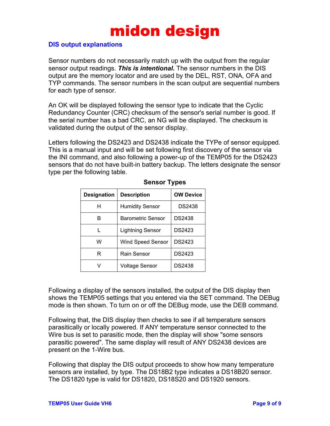#### <span id="page-8-0"></span>**DIS output explanations**

Sensor numbers do not necessarily match up with the output from the regular sensor output readings. *This is intentional.* The sensor numbers in the DIS output are the memory locator and are used by the DEL, RST, ONA, OFA and TYP commands. The sensor numbers in the scan output are sequential numbers for each type of sensor.

An OK will be displayed following the sensor type to indicate that the Cyclic Redundancy Counter (CRC) checksum of the sensor's serial number is good. If the serial number has a bad CRC, an NG will be displayed. The checksum is validated during the output of the sensor display.

Letters following the DS2423 and DS2438 indicate the TYPe of sensor equipped. This is a manual input and will be set following first discovery of the sensor via the INI command, and also following a power-up of the TEMP05 for the DS2423 sensors that do not have built-in battery backup. The letters designate the sensor type per the following table.

| <b>Designation</b> | <b>Description</b>       | <b>OW Device</b> |
|--------------------|--------------------------|------------------|
| н                  | <b>Humidity Sensor</b>   | DS2438           |
| в                  | Barometric Sensor        | DS2438           |
| L                  | <b>Lightning Sensor</b>  | DS2423           |
| w                  | <b>Wind Speed Sensor</b> | DS2423           |
| R                  | Rain Sensor              | DS2423           |
|                    | <b>Voltage Sensor</b>    | DS2438           |

#### **Sensor Types**

Following a display of the sensors installed, the output of the DIS display then shows the TEMP05 settings that you entered via the SET command. The DEBug mode is then shown. To turn on or off the DEBug mode, use the DEB command.

Following that, the DIS display then checks to see if all temperature sensors parasitically or locally powered. If ANY temperature sensor connected to the Wire bus is set to parasitic mode, then the display will show "some sensors parasitic powered". The same display will result of ANY DS2438 devices are present on the 1-Wire bus.

Following that display the DIS output proceeds to show how many temperature sensors are installed, by type. The DS18B2 type indicates a DS18B20 sensor. The DS1820 type is valid for DS1820, DS18S20 and DS1920 sensors.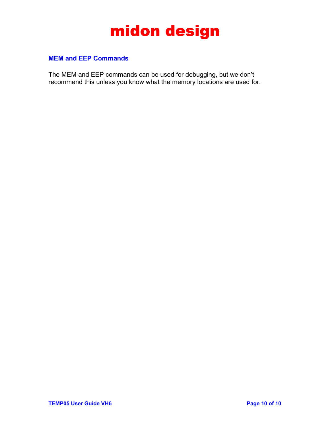

#### <span id="page-9-0"></span>**MEM and EEP Commands**

The MEM and EEP commands can be used for debugging, but we don't recommend this unless you know what the memory locations are used for.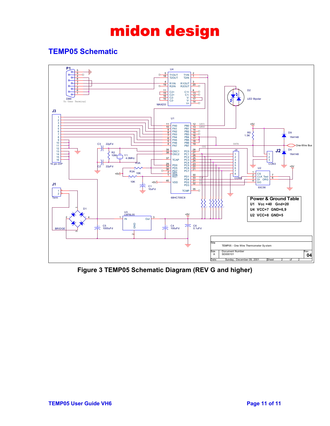### <span id="page-10-0"></span>**TEMP05 Schematic**



**Figure 3 TEMP05 Schematic Diagram (REV G and higher)**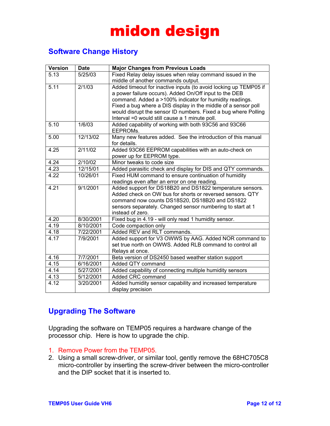### <span id="page-11-0"></span>**Software Change History**

| <b>Version</b> | <b>Date</b> | <b>Major Changes from Previous Loads</b>                                                                           |
|----------------|-------------|--------------------------------------------------------------------------------------------------------------------|
| 5.13           | 5/25/03     | Fixed Relay delay issues when relay command issued in the                                                          |
|                |             | middle of another commands output.                                                                                 |
| 5.11           | 2/1/03      | Added timeout for inactive inputs (to avoid locking up TEMP05 if                                                   |
|                |             | a power failure occurs). Added On/Off input to the DEB                                                             |
|                |             | command. Added a >100% indicator for humidity readings.                                                            |
|                |             | Fixed a bug where a DIS display in the middle of a sensor poll                                                     |
|                |             | would disrupt the sensor ID numbers. Fixed a bug where Polling                                                     |
|                |             | Interval =0 would still cause a 1 minute poll.                                                                     |
| 5.10           | 1/6/03      | Added capability of working with both 93C56 and 93C66                                                              |
|                |             | EEPROMs.                                                                                                           |
| 5.00           | 12/13/02    | Many new features added. See the introduction of this manual                                                       |
|                |             | for details.                                                                                                       |
| 4.25           | 2/11/02     | Added 93C66 EEPROM capabilities with an auto-check on                                                              |
|                |             | power up for EEPROM type.                                                                                          |
| 4.24           | 2/10/02     | Minor tweaks to code size                                                                                          |
| 4.23           | 12/15/01    | Added parasitic check and display for DIS and QTY commands.                                                        |
| 4.22           | 10/26/01    | Fixed HUM command to ensure continuation of humidity                                                               |
|                |             | readings even after an error on one reading.                                                                       |
| 4.21           | 9/1/2001    | Added support for DS18B20 and DS1822 temperature sensors.                                                          |
|                |             | Added check on OW bus for shorts or reversed sensors. QTY                                                          |
|                |             | command now counts DS18S20, DS18B20 and DS1822                                                                     |
|                |             | sensors separately. Changed sensor numbering to start at 1                                                         |
| 4.20           | 8/30/2001   | instead of zero.                                                                                                   |
| 4.19           | 8/10/2001   | Fixed bug in 4.19 - will only read 1 humidity sensor.                                                              |
|                |             | Code compaction only                                                                                               |
| 4.18<br>4.17   | 7/22/2001   | Added REV and RLT commands.                                                                                        |
|                | 7/9/2001    | Added support for V3 OWWS by AAG. Added NOR command to<br>set true north on OWWS. Added RLB command to control all |
|                |             |                                                                                                                    |
|                |             | Relays at once.                                                                                                    |
| 4.16<br>4.15   | 7/7/2001    | Beta version of DS2450 based weather station support                                                               |
|                | 6/16/2001   | Added QTY command                                                                                                  |
| 4.14           | 5/27/2001   | Added capability of connecting multiple humidity sensors                                                           |
| 4.13           | 5/12/2001   | Added CRC command                                                                                                  |
| 4.12           | 3/20/2001   | Added humidity sensor capability and increased temperature                                                         |
|                |             | display precision                                                                                                  |

### **Upgrading The Software**

Upgrading the software on TEMP05 requires a hardware change of the processor chip. Here is how to upgrade the chip.

- 1. Remove Power from the TEMP05.
- 2. Using a small screw-driver, or similar tool, gently remove the 68HC705C8 micro-controller by inserting the screw-driver between the micro-controller and the DIP socket that it is inserted to.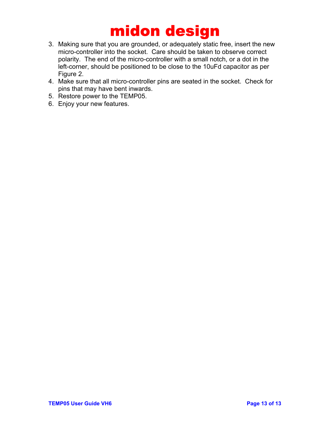- 3. Making sure that you are grounded, or adequately static free, insert the new micro-controller into the socket. Care should be taken to observe correct polarity. The end of the micro-controller with a small notch, or a dot in the left-corner, should be positioned to be close to the 10uFd capacitor as per Figure 2.
- 4. Make sure that all micro-controller pins are seated in the socket. Check for pins that may have bent inwards.
- 5. Restore power to the TEMP05.
- 6. Enjoy your new features.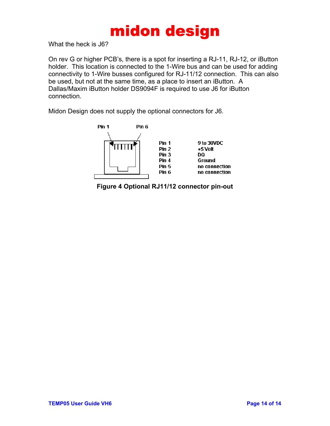What the heck is J6?

On rev G or higher PCB's, there is a spot for inserting a RJ-11, RJ-12, or iButton holder. This location is connected to the 1-Wire bus and can be used for adding connectivity to 1-Wire busses configured for RJ-11/12 connection. This can also be used, but not at the same time, as a place to insert an iButton. A Dallas/Maxim iButton holder DS9094F is required to use J6 for iButton connection.

Midon Design does not supply the optional connectors for J6.



**Figure 4 Optional RJ11/12 connector pin-out**